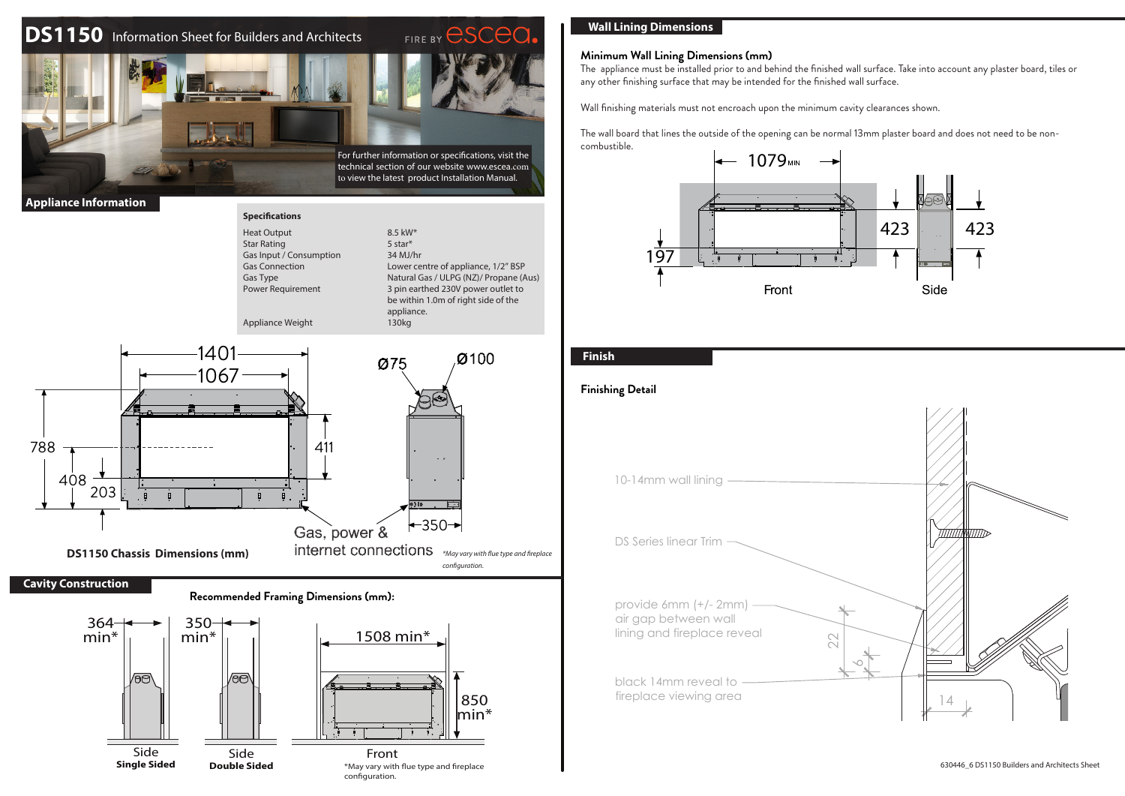# **DS1150** Information Sheet for Builders and Architects



### **Appliance Information**

788





## **Wall Lining Dimensions**

### **Minimum Wall Lining Dimensions (mm)**

The appliance must be installed prior to and behind the finished wall surface. Take into account any plaster board, tiles or any other finishing surface that may be intended for the finished wall surface.

Wall finishing materials must not encroach upon the minimum cavity clearances shown.

The wall board that lines the outside of the opening can be normal 13mm plaster board and does not need to be noncombustible.